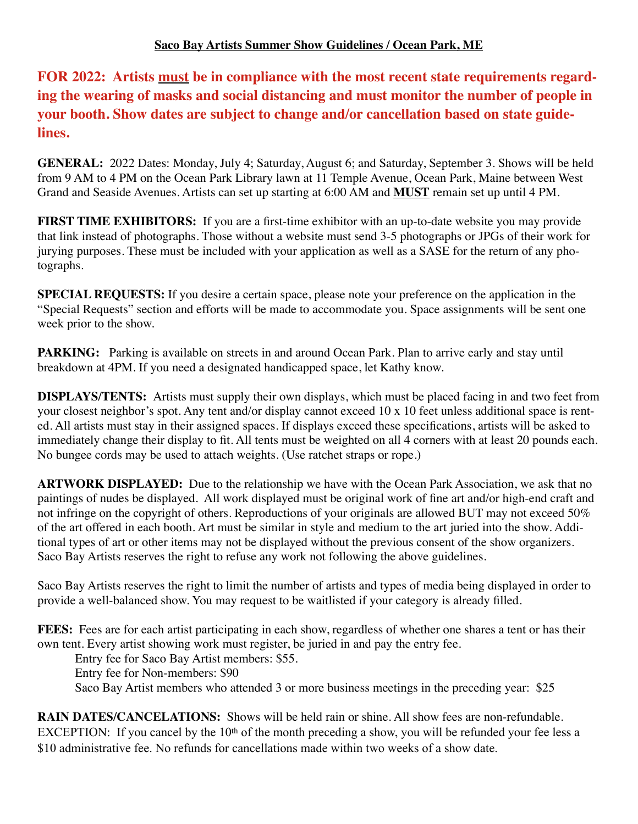**FOR 2022: Artists must be in compliance with the most recent state requirements regarding the wearing of masks and social distancing and must monitor the number of people in your booth. Show dates are subject to change and/or cancellation based on state guidelines.** 

**GENERAL:** 2022 Dates: Monday, July 4; Saturday, August 6; and Saturday, September 3. Shows will be held from 9 AM to 4 PM on the Ocean Park Library lawn at 11 Temple Avenue, Ocean Park, Maine between West Grand and Seaside Avenues. Artists can set up starting at 6:00 AM and **MUST** remain set up until 4 PM.

**FIRST TIME EXHIBITORS:** If you are a first-time exhibitor with an up-to-date website you may provide that link instead of photographs. Those without a website must send 3-5 photographs or JPGs of their work for jurying purposes. These must be included with your application as well as a SASE for the return of any photographs.

**SPECIAL REQUESTS:** If you desire a certain space, please note your preference on the application in the "Special Requests" section and efforts will be made to accommodate you. Space assignments will be sent one week prior to the show.

**PARKING:** Parking is available on streets in and around Ocean Park. Plan to arrive early and stay until breakdown at 4PM. If you need a designated handicapped space, let Kathy know.

**DISPLAYS/TENTS:** Artists must supply their own displays, which must be placed facing in and two feet from your closest neighbor's spot. Any tent and/or display cannot exceed 10 x 10 feet unless additional space is rented. All artists must stay in their assigned spaces. If displays exceed these specifications, artists will be asked to immediately change their display to fit. All tents must be weighted on all 4 corners with at least 20 pounds each. No bungee cords may be used to attach weights. (Use ratchet straps or rope.)

**ARTWORK DISPLAYED:** Due to the relationship we have with the Ocean Park Association, we ask that no paintings of nudes be displayed. All work displayed must be original work of fine art and/or high-end craft and not infringe on the copyright of others. Reproductions of your originals are allowed BUT may not exceed 50% of the art offered in each booth. Art must be similar in style and medium to the art juried into the show. Additional types of art or other items may not be displayed without the previous consent of the show organizers. Saco Bay Artists reserves the right to refuse any work not following the above guidelines.

Saco Bay Artists reserves the right to limit the number of artists and types of media being displayed in order to provide a well-balanced show. You may request to be waitlisted if your category is already filled.

**FEES:** Fees are for each artist participating in each show, regardless of whether one shares a tent or has their own tent. Every artist showing work must register, be juried in and pay the entry fee.

Entry fee for Saco Bay Artist members: \$55. Entry fee for Non-members: \$90 Saco Bay Artist members who attended 3 or more business meetings in the preceding year: \$25

**RAIN DATES/CANCELATIONS:** Shows will be held rain or shine. All show fees are non-refundable. EXCEPTION: If you cancel by the 10<sup>th</sup> of the month preceding a show, you will be refunded your fee less a \$10 administrative fee. No refunds for cancellations made within two weeks of a show date.